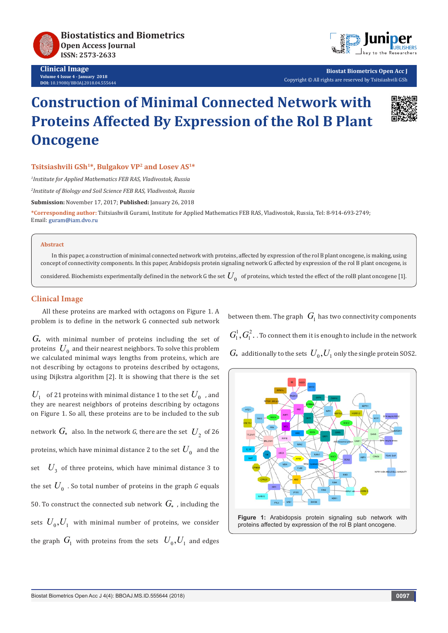

**Clinical Image Volume 4 Issue 4 - January 2018 DOI:** [10.19080/BBOAJ.2018.04.55564](http://dx.doi.org/10.19080/BBOAJ.2018.04.555644)4



**Biostat Biometrics Open Acc J** Copyright © All rights are reserved by Tsitsiashvili GSh

# **Construction of Minimal Connected Network with Proteins Affected By Expression of the Rol B Plant Oncogene**



### **Tsitsiashvili GSh1\*, Bulgakov VP2 and Losev AS1\***

*1 Institute for Applied Mathematics FEB RAS, Vladivostok, Russia*

*2 Institute of Biology and Soil Science FEB RAS, Vladivostok, Russia*

**Submission:** November 17, 2017; **Published:** January 26, 2018

**\*Corresponding author:** Tsitsiashvili Gurami, Institute for Applied Mathematics FEB RAS, Vladivostok, Russia, Tel: 8-914-693-2749; Email: guram@iam.dvo.ru

#### **Abstract**

In this paper, a construction of minimal connected network with proteins, affected by expression of the rol B plant oncogene, is making, using concept of connectivity components. In this paper, Arabidopsis protein signaling network G affected by expression of the rol B plant oncogene, is

considered. Biochemists experimentally defined in the network G the set  $U_0^{\circ}$  of proteins, which tested the effect of the rolB plant oncogene [1].

### **Clinical Image**

All these proteins are marked with octagons on Figure 1. A problem is to define in the network G connected sub network

*G*\* with minimal number of proteins including the set of proteins  $U_0$  and their nearest neighbors. To solve this problem we calculated minimal ways lengths from proteins, which are not describing by octagons to proteins described by octagons, using Dijkstra algorithm [2]. It is showing that there is the set

 $U_1$  of 21 proteins with minimal distance 1 to the set  $U_0^{\dagger}$  , and they are nearest neighbors of proteins describing by octagons on Figure 1. So all, these proteins are to be included to the sub network  $G_*$  also. In the network G, there are the set  $U_2$  of 26 proteins, which have minimal distance 2 to the set  $U_0$  and the set  $U_3$  of three proteins, which have minimal distance 3 to the set  $U_0$ . So total number of proteins in the graph *G* equals 50. To construct the connected sub network  $G_*$ , including the sets  $U_0, U_1$  with minimal number of proteins, we consider the graph  $G_1$  with proteins from the sets  $U_0, U_1$  and edges

between them. The graph  $\,G_1\,$  has two connectivity components  $G_{\!1}^1,G_{\!1}^2$  . . To connect them it is enough to include in the network  $G_*$  additionally to the sets  $U_0, U_1$  only the single protein SOS2.



proteins affected by expression of the rol B plant oncogene.